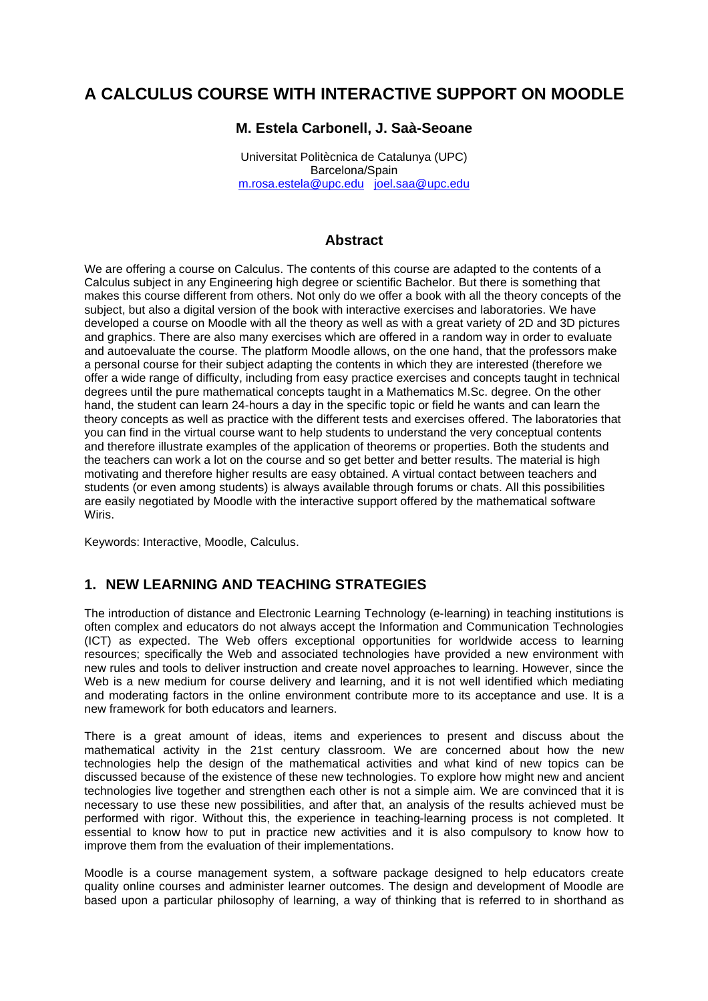# **A CALCULUS COURSE WITH INTERACTIVE SUPPORT ON MOODLE**

## **M. Estela Carbonell, J. Saà-Seoane**

Universitat Politècnica de Catalunya (UPC) Barcelona/Spain m.rosa.estela@upc.edu joel.saa@upc.edu

#### **Abstract**

We are offering a course on Calculus. The contents of this course are adapted to the contents of a Calculus subject in any Engineering high degree or scientific Bachelor. But there is something that makes this course different from others. Not only do we offer a book with all the theory concepts of the subject, but also a digital version of the book with interactive exercises and laboratories. We have developed a course on Moodle with all the theory as well as with a great variety of 2D and 3D pictures and graphics. There are also many exercises which are offered in a random way in order to evaluate and autoevaluate the course. The platform Moodle allows, on the one hand, that the professors make a personal course for their subject adapting the contents in which they are interested (therefore we offer a wide range of difficulty, including from easy practice exercises and concepts taught in technical degrees until the pure mathematical concepts taught in a Mathematics M.Sc. degree. On the other hand, the student can learn 24-hours a day in the specific topic or field he wants and can learn the theory concepts as well as practice with the different tests and exercises offered. The laboratories that you can find in the virtual course want to help students to understand the very conceptual contents and therefore illustrate examples of the application of theorems or properties. Both the students and the teachers can work a lot on the course and so get better and better results. The material is high motivating and therefore higher results are easy obtained. A virtual contact between teachers and students (or even among students) is always available through forums or chats. All this possibilities are easily negotiated by Moodle with the interactive support offered by the mathematical software Wiris.

Keywords: Interactive, Moodle, Calculus.

# **1. NEW LEARNING AND TEACHING STRATEGIES**

The introduction of distance and Electronic Learning Technology (e-learning) in teaching institutions is often complex and educators do not always accept the Information and Communication Technologies (ICT) as expected. The Web offers exceptional opportunities for worldwide access to learning resources; specifically the Web and associated technologies have provided a new environment with new rules and tools to deliver instruction and create novel approaches to learning. However, since the Web is a new medium for course delivery and learning, and it is not well identified which mediating and moderating factors in the online environment contribute more to its acceptance and use. It is a new framework for both educators and learners.

There is a great amount of ideas, items and experiences to present and discuss about the mathematical activity in the 21st century classroom. We are concerned about how the new technologies help the design of the mathematical activities and what kind of new topics can be discussed because of the existence of these new technologies. To explore how might new and ancient technologies live together and strengthen each other is not a simple aim. We are convinced that it is necessary to use these new possibilities, and after that, an analysis of the results achieved must be performed with rigor. Without this, the experience in teaching-learning process is not completed. It essential to know how to put in practice new activities and it is also compulsory to know how to improve them from the evaluation of their implementations.

Moodle is a course management system, a software package designed to help educators create quality online courses and administer learner outcomes. The design and development of Moodle are based upon a particular philosophy of learning, a way of thinking that is referred to in shorthand as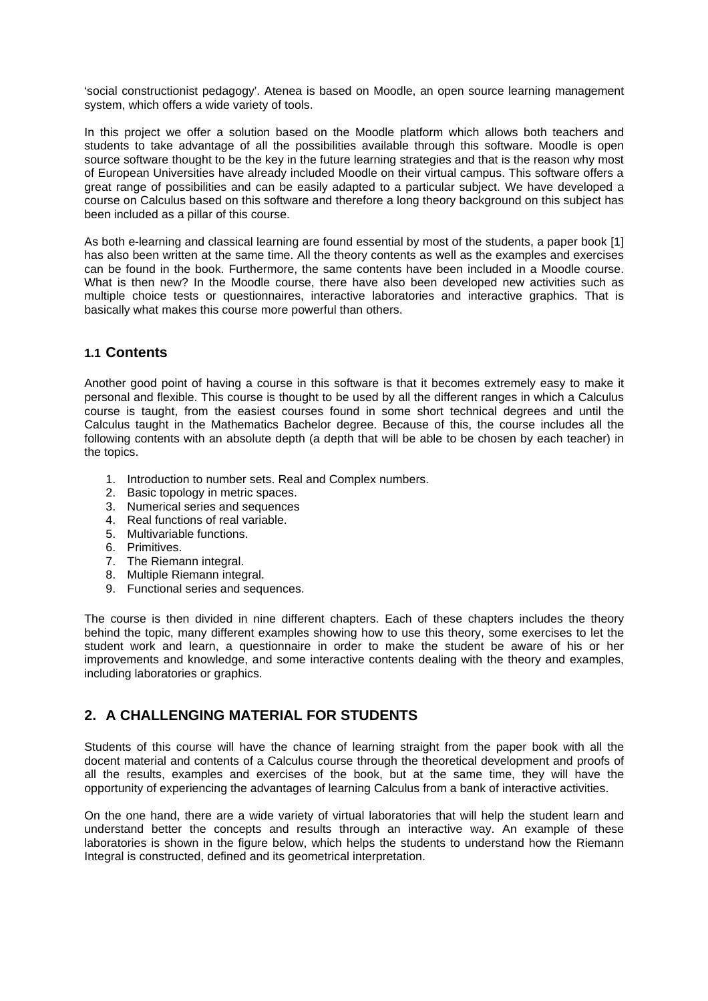'social constructionist pedagogy'. Atenea is based on Moodle, an open source learning management system, which offers a wide variety of tools.

In this project we offer a solution based on the Moodle platform which allows both teachers and students to take advantage of all the possibilities available through this software. Moodle is open source software thought to be the key in the future learning strategies and that is the reason why most of European Universities have already included Moodle on their virtual campus. This software offers a great range of possibilities and can be easily adapted to a particular subject. We have developed a course on Calculus based on this software and therefore a long theory background on this subject has been included as a pillar of this course.

As both e-learning and classical learning are found essential by most of the students, a paper book [1] has also been written at the same time. All the theory contents as well as the examples and exercises can be found in the book. Furthermore, the same contents have been included in a Moodle course. What is then new? In the Moodle course, there have also been developed new activities such as multiple choice tests or questionnaires, interactive laboratories and interactive graphics. That is basically what makes this course more powerful than others.

#### **1.1 Contents**

Another good point of having a course in this software is that it becomes extremely easy to make it personal and flexible. This course is thought to be used by all the different ranges in which a Calculus course is taught, from the easiest courses found in some short technical degrees and until the Calculus taught in the Mathematics Bachelor degree. Because of this, the course includes all the following contents with an absolute depth (a depth that will be able to be chosen by each teacher) in the topics.

- 1. Introduction to number sets. Real and Complex numbers.
- 2. Basic topology in metric spaces.
- 3. Numerical series and sequences
- 4. Real functions of real variable.
- 5. Multivariable functions.
- 6. Primitives.
- 7. The Riemann integral.
- 8. Multiple Riemann integral.
- 9. Functional series and sequences.

The course is then divided in nine different chapters. Each of these chapters includes the theory behind the topic, many different examples showing how to use this theory, some exercises to let the student work and learn, a questionnaire in order to make the student be aware of his or her improvements and knowledge, and some interactive contents dealing with the theory and examples, including laboratories or graphics.

# **2. A CHALLENGING MATERIAL FOR STUDENTS**

Students of this course will have the chance of learning straight from the paper book with all the docent material and contents of a Calculus course through the theoretical development and proofs of all the results, examples and exercises of the book, but at the same time, they will have the opportunity of experiencing the advantages of learning Calculus from a bank of interactive activities.

On the one hand, there are a wide variety of virtual laboratories that will help the student learn and understand better the concepts and results through an interactive way. An example of these laboratories is shown in the figure below, which helps the students to understand how the Riemann Integral is constructed, defined and its geometrical interpretation.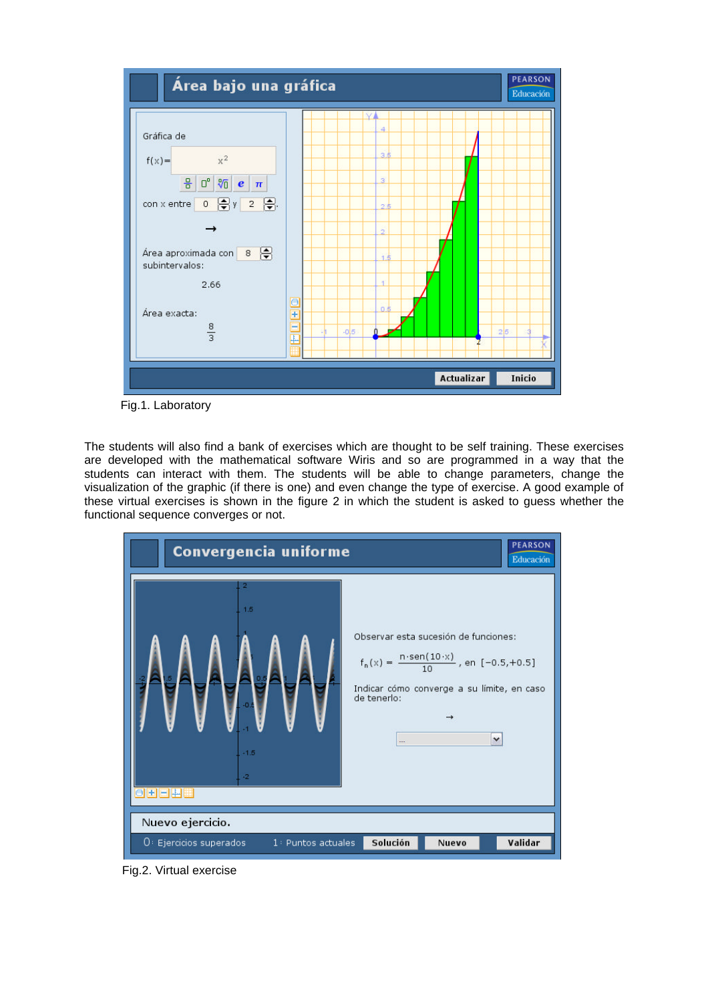

Fig.1. Laboratory

The students will also find a bank of exercises which are thought to be self training. These exercises are developed with the mathematical software Wiris and so are programmed in a way that the students can interact with them. The students will be able to change parameters, change the visualization of the graphic (if there is one) and even change the type of exercise. A good example of these virtual exercises is shown in the figure 2 in which the student is asked to guess whether the functional sequence converges or not.



Fig.2. Virtual exercise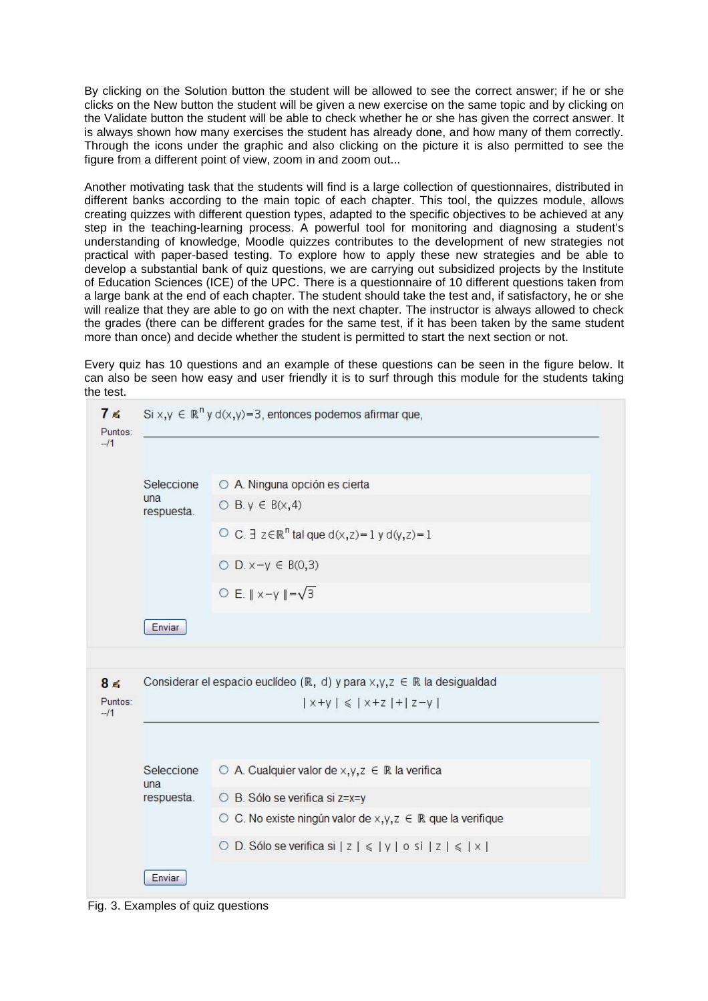By clicking on the Solution button the student will be allowed to see the correct answer; if he or she clicks on the New button the student will be given a new exercise on the same topic and by clicking on the Validate button the student will be able to check whether he or she has given the correct answer. It is always shown how many exercises the student has already done, and how many of them correctly. Through the icons under the graphic and also clicking on the picture it is also permitted to see the figure from a different point of view, zoom in and zoom out...

Another motivating task that the students will find is a large collection of questionnaires, distributed in different banks according to the main topic of each chapter. This tool, the quizzes module, allows creating quizzes with different question types, adapted to the specific objectives to be achieved at any step in the teaching-learning process. A powerful tool for monitoring and diagnosing a student's understanding of knowledge, Moodle quizzes contributes to the development of new strategies not practical with paper-based testing. To explore how to apply these new strategies and be able to develop a substantial bank of quiz questions, we are carrying out subsidized projects by the Institute of Education Sciences (ICE) of the UPC. There is a questionnaire of 10 different questions taken from a large bank at the end of each chapter. The student should take the test and, if satisfactory, he or she will realize that they are able to go on with the next chapter. The instructor is always allowed to check the grades (there can be different grades for the same test, if it has been taken by the same student more than once) and decide whether the student is permitted to start the next section or not.

Every quiz has 10 questions and an example of these questions can be seen in the figure below. It can also be seen how easy and user friendly it is to surf through this module for the students taking the test.

| 7 ≼<br>Puntos:<br>$-11$ | Si $x,y \in \mathbb{R}^n$ y d $(x,y)$ =3, entonces podemos afirmar que,                         |                                                                              |  |  |  |  |  |  |  |
|-------------------------|-------------------------------------------------------------------------------------------------|------------------------------------------------------------------------------|--|--|--|--|--|--|--|
|                         | Seleccione<br>una<br>respuesta.                                                                 | O A. Ninguna opción es cierta                                                |  |  |  |  |  |  |  |
|                         |                                                                                                 | $O$ B.y $\in$ B(x, 4)                                                        |  |  |  |  |  |  |  |
|                         |                                                                                                 | O C. $\exists z \in \mathbb{R}^n$ tal que d(x,z) = 1 y d(y,z) = 1            |  |  |  |  |  |  |  |
|                         |                                                                                                 | $O$ D. $x-y \in B(0,3)$                                                      |  |  |  |  |  |  |  |
|                         |                                                                                                 | O E. $\ x-y\  = \sqrt{3}$                                                    |  |  |  |  |  |  |  |
|                         | Enviar                                                                                          |                                                                              |  |  |  |  |  |  |  |
|                         |                                                                                                 |                                                                              |  |  |  |  |  |  |  |
| 8 <sub>6</sub>          | Considerar el espacio euclídeo ( $\mathbb{R}$ , d) y para x,y,z $\in \mathbb{R}$ la desigualdad |                                                                              |  |  |  |  |  |  |  |
| Puntos:<br>$-11$        | $ x+y  \le  x+z  +  z-y $                                                                       |                                                                              |  |  |  |  |  |  |  |
|                         |                                                                                                 |                                                                              |  |  |  |  |  |  |  |
|                         | Seleccione<br>una                                                                               | $\circ$ A. Cualquier valor de x,y, $z \in \mathbb{R}$ la verifica            |  |  |  |  |  |  |  |
|                         | respuesta.                                                                                      | O B. Sólo se verifica si z=x=y                                               |  |  |  |  |  |  |  |
|                         |                                                                                                 | $\circ$ C. No existe ningún valor de x,y,z $\in \mathbb{R}$ que la verifique |  |  |  |  |  |  |  |
|                         |                                                                                                 | O D. Sólo se verifica si $ z  \le  y $ o si $ z  \le  x $                    |  |  |  |  |  |  |  |
|                         | Enviar                                                                                          |                                                                              |  |  |  |  |  |  |  |

Fig. 3. Examples of quiz questions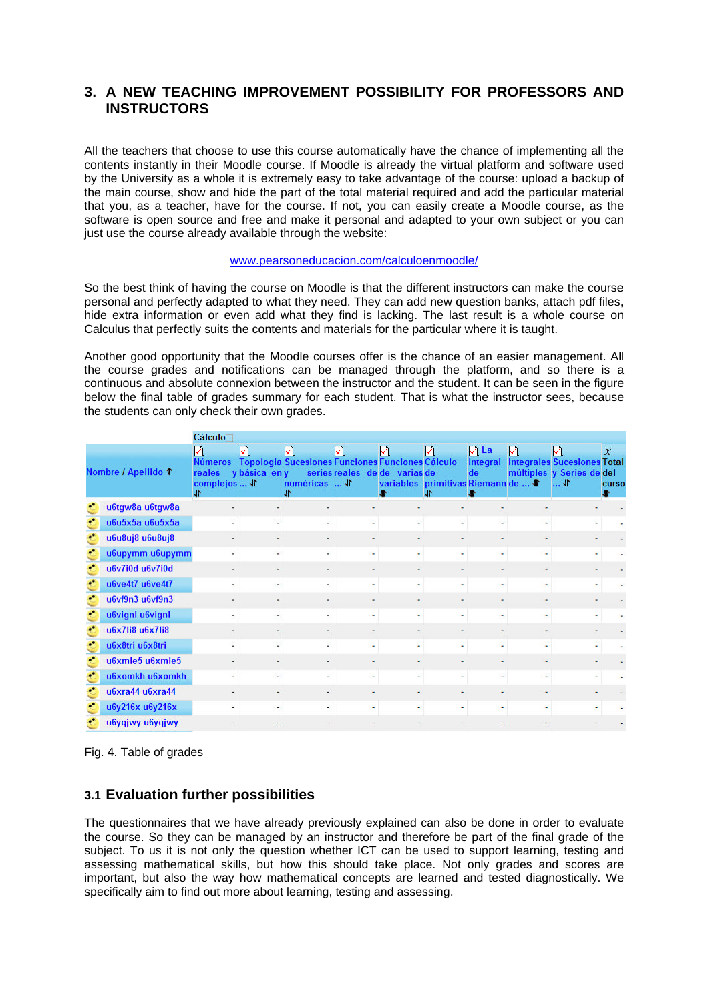## **3. A NEW TEACHING IMPROVEMENT POSSIBILITY FOR PROFESSORS AND INSTRUCTORS**

All the teachers that choose to use this course automatically have the chance of implementing all the contents instantly in their Moodle course. If Moodle is already the virtual platform and software used by the University as a whole it is extremely easy to take advantage of the course: upload a backup of the main course, show and hide the part of the total material required and add the particular material that you, as a teacher, have for the course. If not, you can easily create a Moodle course, as the software is open source and free and make it personal and adapted to your own subject or you can just use the course already available through the website:

#### www.pearsoneducacion.com/calculoenmoodle/

So the best think of having the course on Moodle is that the different instructors can make the course personal and perfectly adapted to what they need. They can add new question banks, attach pdf files, hide extra information or even add what they find is lacking. The last result is a whole course on Calculus that perfectly suits the contents and materials for the particular where it is taught.

Another good opportunity that the Moodle courses offer is the chance of an easier management. All the course grades and notifications can be managed through the platform, and so there is a continuous and absolute connexion between the instructor and the student. It can be seen in the figure below the final table of grades summary for each student. That is what the instructor sees, because the students can only check their own grades.

|  |                     | Cálculo-                                      |                    |                                                                                            |        |                                                                                       |          |                                            |   |                                                                                 |                           |  |
|--|---------------------|-----------------------------------------------|--------------------|--------------------------------------------------------------------------------------------|--------|---------------------------------------------------------------------------------------|----------|--------------------------------------------|---|---------------------------------------------------------------------------------|---------------------------|--|
|  | Nombre / Apellido 1 | M<br><b>Números</b><br>reales<br>complejos  \ | ✓<br>v básica en v | М<br><b>Topologia Sucesiones Funciones Funciones Cálculo</b><br>numéricas  \f<br><b>JN</b> | М      | М<br>series reales de de varias de<br>variables primitivas Riemann de  √<br><b>JF</b> | М<br>JN. | $\nabla$ La<br>integral<br>de<br><b>JF</b> | М | <b>Integrales Sucesiones Total</b><br>múltiples y Series de del<br>$\mathbf{L}$ | $\bar{x}$<br>curso<br>Jr. |  |
|  | u6tgw8a u6tgw8a     |                                               |                    |                                                                                            |        | ۰                                                                                     |          |                                            |   |                                                                                 |                           |  |
|  | u6u5x5a u6u5x5a     |                                               |                    |                                                                                            |        |                                                                                       |          |                                            |   |                                                                                 |                           |  |
|  | u6u8uj8 u6u8uj8     |                                               |                    |                                                                                            |        | ٠                                                                                     | ٠        |                                            |   |                                                                                 |                           |  |
|  | u6upymm u6upymm     | ٠                                             | $\overline{a}$     |                                                                                            | $\sim$ | ÷                                                                                     | ٠        |                                            |   |                                                                                 |                           |  |
|  | u6v7i0d u6v7i0d     | ٠                                             |                    |                                                                                            |        | ۰                                                                                     |          |                                            |   |                                                                                 |                           |  |
|  | u6ve4t7 u6ve4t7     | ٠                                             | ۰                  |                                                                                            | ۰      | ÷                                                                                     | ۰        |                                            |   |                                                                                 |                           |  |
|  | u6vf9n3 u6vf9n3     |                                               |                    |                                                                                            |        | ۰                                                                                     |          |                                            |   |                                                                                 |                           |  |
|  | u6vignl u6vignl     |                                               |                    |                                                                                            |        | ٠                                                                                     |          |                                            |   |                                                                                 |                           |  |
|  | u6x7li8 u6x7li8     |                                               |                    |                                                                                            |        |                                                                                       |          |                                            |   |                                                                                 |                           |  |
|  | u6x8tri u6x8tri     |                                               |                    |                                                                                            |        |                                                                                       |          |                                            |   |                                                                                 |                           |  |
|  | u6xmle5 u6xmle5     |                                               |                    |                                                                                            |        |                                                                                       |          |                                            |   |                                                                                 |                           |  |
|  | u6xomkh u6xomkh     |                                               |                    |                                                                                            |        |                                                                                       |          |                                            |   |                                                                                 |                           |  |
|  | u6xra44 u6xra44     |                                               |                    |                                                                                            |        |                                                                                       |          |                                            |   |                                                                                 |                           |  |
|  | u6y216x u6y216x     |                                               |                    |                                                                                            |        |                                                                                       |          |                                            |   |                                                                                 |                           |  |
|  | u6yqjwy u6yqjwy     |                                               |                    |                                                                                            |        |                                                                                       |          |                                            |   |                                                                                 |                           |  |

Fig. 4. Table of grades

#### **3.1 Evaluation further possibilities**

The questionnaires that we have already previously explained can also be done in order to evaluate the course. So they can be managed by an instructor and therefore be part of the final grade of the subject. To us it is not only the question whether ICT can be used to support learning, testing and assessing mathematical skills, but how this should take place. Not only grades and scores are important, but also the way how mathematical concepts are learned and tested diagnostically. We specifically aim to find out more about learning, testing and assessing.